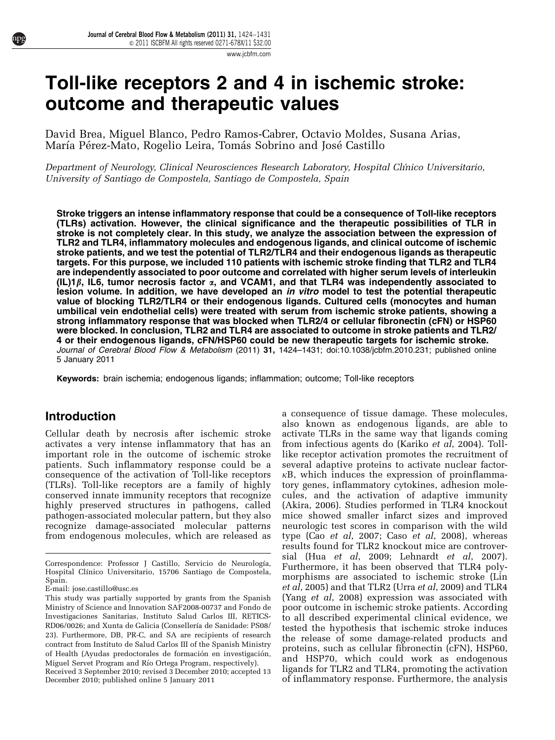[www.jcbfm.com](http://www.jcbfm.com)

# Toll-like receptors 2 and 4 in ischemic stroke: outcome and therapeutic values

David Brea, Miguel Blanco, Pedro Ramos-Cabrer, Octavio Moldes, Susana Arias, María Pérez-Mato, Rogelio Leira, Tomás Sobrino and José Castillo

Department of Neurology, Clinical Neurosciences Research Laboratory, Hospital Clínico Universitario, University of Santiago de Compostela, Santiago de Compostela, Spain

Stroke triggers an intense inflammatory response that could be a consequence of Toll-like receptors (TLRs) activation. However, the clinical significance and the therapeutic possibilities of TLR in stroke is not completely clear. In this study, we analyze the association between the expression of TLR2 and TLR4, inflammatory molecules and endogenous ligands, and clinical outcome of ischemic stroke patients, and we test the potential of TLR2/TLR4 and their endogenous ligands as therapeutic targets. For this purpose, we included 110 patients with ischemic stroke finding that TLR2 and TLR4 are independently associated to poor outcome and correlated with higher serum levels of interleukin (IL)1 $\beta$ , IL6, tumor necrosis factor  $\alpha$ , and VCAM1, and that TLR4 was independently associated to lesion volume. In addition, we have developed an *in vitro* model to test the potential therapeutic value of blocking TLR2/TLR4 or their endogenous ligands. Cultured cells (monocytes and human umbilical vein endothelial cells) were treated with serum from ischemic stroke patients, showing a strong inflammatory response that was blocked when TLR2/4 or cellular fibronectin (cFN) or HSP60 were blocked. In conclusion, TLR2 and TLR4 are associated to outcome in stroke patients and TLR2/ 4 or their endogenous ligands, cFN/HSP60 could be new therapeutic targets for ischemic stroke. Journal of Cerebral Blood Flow & Metabolism (2011) 31, 1424-1431; doi:[10.1038/jcbfm.2010.231;](http://dx.doi.org/10.1038/jcbfm.2010.231) published online 5 January 2011

Keywords: brain ischemia; endogenous ligands; inflammation; outcome; Toll-like receptors

# Introduction

Cellular death by necrosis after ischemic stroke activates a very intense inflammatory that has an important role in the outcome of ischemic stroke patients. Such inflammatory response could be a consequence of the activation of Toll-like receptors (TLRs). Toll-like receptors are a family of highly conserved innate immunity receptors that recognize highly preserved structures in pathogens, called pathogen-associated molecular pattern, but they also recognize damage-associated molecular patterns from endogenous molecules, which are released as

a consequence of tissue damage. These molecules, also known as endogenous ligands, are able to activate TLRs in the same way that ligands coming from infectious agents do ([Kariko](#page-7-0) et al, 2004). Tolllike receptor activation promotes the recruitment of several adaptive proteins to activate nuclear factor- $\kappa$ B, which induces the expression of proinflammatory genes, inflammatory cytokines, adhesion molecules, and the activation of adaptive immunity [\(Akira, 2006](#page-7-0)). Studies performed in TLR4 knockout mice showed smaller infarct sizes and improved neurologic test scores in comparison with the wild type (Cao et al[, 2007](#page-7-0); Caso et al[, 2008\)](#page-7-0), whereas results found for TLR2 knockout mice are controversial (Hua et al[, 2009; Lehnardt](#page-7-0) et al, 2007). Furthermore, it has been observed that TLR4 polymorphisms are associated to ischemic stroke [\(Lin](#page-7-0) et al[, 2005](#page-7-0)) and that TLR2 (Urra et al[, 2009\)](#page-7-0) and TLR4 (Yang et al[, 2008\)](#page-7-0) expression was associated with poor outcome in ischemic stroke patients. According to all described experimental clinical evidence, we tested the hypothesis that ischemic stroke induces the release of some damage-related products and proteins, such as cellular fibronectin (cFN), HSP60, and HSP70, which could work as endogenous ligands for TLR2 and TLR4, promoting the activation Received 3 September 2010; revised 3 December 2010; accepted 13 ligands for TLR2 and TLR4, promoting the activation<br>December 2010; published online 5 January 2011 of inflammatory response. Furthermore, the analysis

Correspondence: Professor J Castillo, Servicio de Neurología, Hospital Clínico Universitario, 15706 Santiago de Compostela, Spain.

E-mail: [jose.castillo@usc.es](mailto:jose.castillo@usc.es)

December 2010; published online 5 January 2011 This study was partially supported by grants from the Spanish Ministry of Science and Innovation SAF2008-00737 and Fondo de Investigaciones Sanitarias, Instituto Salud Carlos III, RETICS-RD06/0026; and Xunta de Galicia (Consellería de Sanidade: PS08/ 23). Furthermore, DB, PR-C, and SA are recipients of research contract from Instituto de Salud Carlos III of the Spanish Ministry of Health (Ayudas predoctorales de formación en investigación, Miguel Servet Program and Río Ortega Program, respectively).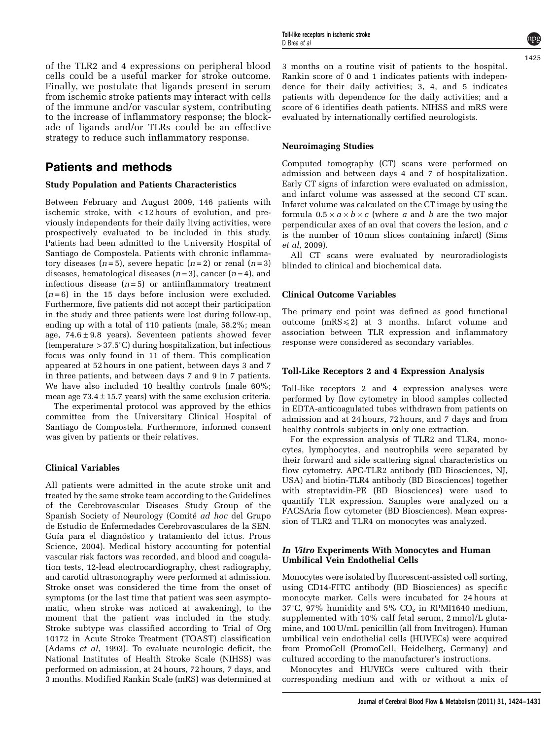of the TLR2 and 4 expressions on peripheral blood cells could be a useful marker for stroke outcome. Finally, we postulate that ligands present in serum from ischemic stroke patients may interact with cells of the immune and/or vascular system, contributing to the increase of inflammatory response; the blockade of ligands and/or TLRs could be an effective strategy to reduce such inflammatory response.

# Patients and methods

## Study Population and Patients Characteristics

Between February and August 2009, 146 patients with ischemic stroke, with < 12 hours of evolution, and previously independents for their daily living activities, were prospectively evaluated to be included in this study. Patients had been admitted to the University Hospital of Santiago de Compostela. Patients with chronic inflammatory diseases  $(n=5)$ , severe hepatic  $(n=2)$  or renal  $(n=3)$ diseases, hematological diseases  $(n=3)$ , cancer  $(n=4)$ , and infectious disease  $(n=5)$  or antiinflammatory treatment  $(n=6)$  in the 15 days before inclusion were excluded. Furthermore, five patients did not accept their participation in the study and three patients were lost during follow-up, ending up with a total of 110 patients (male, 58.2%; mean age,  $74.6 \pm 9.8$  years). Seventeen patients showed fever (temperature  $>37.5^{\circ}$ C) during hospitalization, but infectious focus was only found in 11 of them. This complication appeared at 52 hours in one patient, between days 3 and 7 in three patients, and between days 7 and 9 in 7 patients. We have also included 10 healthy controls (male 60%; mean age  $73.4 \pm 15.7$  years) with the same exclusion criteria.

The experimental protocol was approved by the ethics committee from the Universitary Clinical Hospital of Santiago de Compostela. Furthermore, informed consent was given by patients or their relatives.

## Clinical Variables

All patients were admitted in the acute stroke unit and treated by the same stroke team according to the Guidelines of the Cerebrovascular Diseases Study Group of the Spanish Society of Neurology (Comité ad hoc [del Grupo](#page-7-0) [de Estudio de Enfermedades Cerebrovasculares de la SEN.](#page-7-0) Guía para el diagnóstico y tratamiento del ictus. Prous [Science, 2004](#page-7-0)). Medical history accounting for potential vascular risk factors was recorded, and blood and coagulation tests, 12-lead electrocardiography, chest radiography, and carotid ultrasonography were performed at admission. Stroke onset was considered the time from the onset of symptoms (or the last time that patient was seen asymptomatic, when stroke was noticed at awakening), to the moment that the patient was included in the study. Stroke subtype was classified according to Trial of Org 10172 in Acute Stroke Treatment (TOAST) classification ([Adams](#page-7-0) et al, 1993). To evaluate neurologic deficit, the National Institutes of Health Stroke Scale (NIHSS) was performed on admission, at 24 hours, 72 hours, 7 days, and 3 months. Modified Rankin Scale (mRS) was determined at

3 months on a routine visit of patients to the hospital. Rankin score of 0 and 1 indicates patients with independence for their daily activities; 3, 4, and 5 indicates patients with dependence for the daily activities; and a score of 6 identifies death patients. NIHSS and mRS were evaluated by internationally certified neurologists.

#### Neuroimaging Studies

Computed tomography (CT) scans were performed on admission and between days 4 and 7 of hospitalization. Early CT signs of infarction were evaluated on admission, and infarct volume was assessed at the second CT scan. Infarct volume was calculated on the CT image by using the formula  $0.5 \times a \times b \times c$  (where a and b are the two major perpendicular axes of an oval that covers the lesion, and c is the number of 10 mm slices containing infarct) ([Sims](#page-7-0) et al[, 2009](#page-7-0)).

All CT scans were evaluated by neuroradiologists blinded to clinical and biochemical data.

#### Clinical Outcome Variables

The primary end point was defined as good functional outcome  $(mRS \leq 2)$  at 3 months. Infarct volume and association between TLR expression and inflammatory response were considered as secondary variables.

#### Toll-Like Receptors 2 and 4 Expression Analysis

Toll-like receptors 2 and 4 expression analyses were performed by flow cytometry in blood samples collected in EDTA-anticoagulated tubes withdrawn from patients on admission and at 24 hours, 72 hours, and 7 days and from healthy controls subjects in only one extraction.

For the expression analysis of TLR2 and TLR4, monocytes, lymphocytes, and neutrophils were separated by their forward and side scattering signal characteristics on flow cytometry. APC-TLR2 antibody (BD Biosciences, NJ, USA) and biotin-TLR4 antibody (BD Biosciences) together with streptavidin-PE (BD Biosciences) were used to quantify TLR expression. Samples were analyzed on a FACSAria flow cytometer (BD Biosciences). Mean expression of TLR2 and TLR4 on monocytes was analyzed.

#### In Vitro Experiments With Monocytes and Human Umbilical Vein Endothelial Cells

Monocytes were isolated by fluorescent-assisted cell sorting, using CD14-FITC antibody (BD Biosciences) as specific monocyte marker. Cells were incubated for 24 hours at 37°C, 97% humidity and 5%  $CO<sub>2</sub>$  in RPMI1640 medium, supplemented with 10% calf fetal serum, 2 mmol/L glutamine, and 100 U/mL penicillin (all from Invitrogen). Human umbilical vein endothelial cells (HUVECs) were acquired from PromoCell (PromoCell, Heidelberg, Germany) and cultured according to the manufacturer's instructions.

Monocytes and HUVECs were cultured with their corresponding medium and with or without a mix of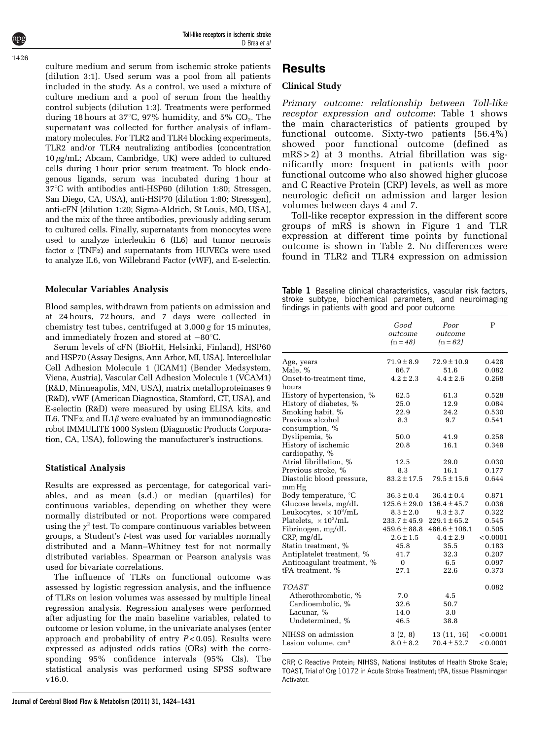Toll-like receptors in ischemic stroke D Brea et al

culture medium and serum from ischemic stroke patients (dilution 3:1). Used serum was a pool from all patients included in the study. As a control, we used a mixture of culture medium and a pool of serum from the healthy control subjects (dilution 1:3). Treatments were performed during 18 hours at 37 $\degree$ C, 97% humidity, and 5% CO<sub>2</sub>. The supernatant was collected for further analysis of inflammatory molecules. For TLR2 and TLR4 blocking experiments, TLR2 and/or TLR4 neutralizing antibodies (concentration  $10 \mu g/mL$ ; Abcam, Cambridge, UK) were added to cultured cells during 1 hour prior serum treatment. To block endogenous ligands, serum was incubated during 1 hour at 37°C with antibodies anti-HSP60 (dilution 1:80; Stressgen, San Diego, CA, USA), anti-HSP70 (dilution 1:80; Stressgen), anti-cFN (dilution 1:20; Sigma-Aldrich, St Louis, MO, USA), and the mix of the three antibodies, previously adding serum to cultured cells. Finally, supernatants from monocytes were used to analyze interleukin 6 (IL6) and tumor necrosis factor  $\alpha$  (TNF $\alpha$ ) and supernatants from HUVECs were used to analyze IL6, von Willebrand Factor (vWF), and E-selectin.

#### Molecular Variables Analysis

Blood samples, withdrawn from patients on admission and at 24 hours, 72 hours, and 7 days were collected in chemistry test tubes, centrifuged at 3,000 g for 15 minutes, and immediately frozen and stored at  $-80^{\circ}$ C.

Serum levels of cFN (BioHit, Helsinki, Finland), HSP60 and HSP70 (Assay Designs, Ann Arbor, MI, USA), Intercellular Cell Adhesion Molecule 1 (ICAM1) (Bender Medsystem, Viena, Austria), Vascular Cell Adhesion Molecule 1 (VCAM1) (R&D, Minneapolis, MN, USA), matrix metalloproteinases 9 (R&D), vWF (American Diagnostica, Stamford, CT, USA), and E-selectin (R&D) were measured by using ELISA kits, and IL6, TNF $\alpha$ , and IL1 $\beta$  were evaluated by an immunodiagnostic robot IMMULITE 1000 System (Diagnostic Products Corporation, CA, USA), following the manufacturer's instructions.

#### Statistical Analysis

Results are expressed as percentage, for categorical variables, and as mean (s.d.) or median (quartiles) for continuous variables, depending on whether they were normally distributed or not. Proportions were compared using the  $\chi^2$  test. To compare continuous variables between groups, a Student's t-test was used for variables normally distributed and a Mann–Whitney test for not normally distributed variables. Spearman or Pearson analysis was used for bivariate correlations.

The influence of TLRs on functional outcome was assessed by logistic regression analysis, and the influence of TLRs on lesion volumes was assessed by multiple lineal regression analysis. Regression analyses were performed after adjusting for the main baseline variables, related to outcome or lesion volume, in the univariate analyses (enter approach and probability of entry  $P < 0.05$ ). Results were expressed as adjusted odds ratios (ORs) with the corresponding 95% confidence intervals (95% CIs). The statistical analysis was performed using SPSS software v16.0.

#### Clinical Study

Primary outcome: relationship between Toll-like receptor expression and outcome: Table 1 shows the main characteristics of patients grouped by functional outcome. Sixty-two patients (56.4%) showed poor functional outcome (defined as mRS > 2) at 3 months. Atrial fibrillation was significantly more frequent in patients with poor functional outcome who also showed higher glucose and C Reactive Protein (CRP) levels, as well as more neurologic deficit on admission and larger lesion volumes between days 4 and 7.

Toll-like receptor expression in the different score groups of mRS is shown in [Figure 1](#page-3-0) and TLR expression at different time points by functional outcome is shown in [Table 2.](#page-3-0) No differences were found in TLR2 and TLR4 expression on admission

Table 1 Baseline clinical characteristics, vascular risk factors, stroke subtype, biochemical parameters, and neuroimaging findings in patients with good and poor outcome

|                                       | Good<br>outcome<br>$(n = 48)$ | Poor<br>outcome<br>$(n = 62)$ | P              |
|---------------------------------------|-------------------------------|-------------------------------|----------------|
| Age, years                            | $71.9 \pm 8.9$                | 72.9±10.9                     | 0.428          |
| Male, %                               | 66.7                          | 51.6                          | 0.082          |
| Onset-to-treatment time,              | $4.2 \pm 2.3$                 | $4.4 \pm 2.6$                 | 0.268          |
| hours                                 |                               |                               |                |
| History of hypertension, %            | 62.5                          | 61.3                          | 0.528          |
| History of diabetes, %                | 25.0                          | 12.9                          | 0.084          |
| Smoking habit, %                      | 22.9                          | 24.2                          | 0.530          |
| Previous alcohol                      | 8.3                           | 9.7                           | 0.541          |
| consumption, %                        |                               |                               |                |
| Dyslipemia, %                         | 50.0                          | 41.9                          | 0.258<br>0.348 |
| History of ischemic<br>cardiopathy, % | 20.8                          | 16.1                          |                |
| Atrial fibrillation, %                | 12.5                          | 29.0                          | 0.030          |
| Previous stroke, %                    | 8.3                           | 16.1                          | 0.177          |
| Diastolic blood pressure,             | $83.2 \pm 17.5$               | $79.5 \pm 15.6$               | 0.644          |
| mm Hg                                 |                               |                               |                |
| Body temperature, °C                  | $36.3 \pm 0.4$                | $36.4 \pm 0.4$                | 0.871          |
| Glucose levels, mg/dL                 | $125.6 \pm 29.0$              | $136.4 \pm 45.7$              | 0.036          |
| Leukocytes, $\times 10^3/\text{mL}$   | $8.3 \pm 2.0$                 | $9.3 \pm 3.7$                 | 0.322          |
| Platelets, $\times 10^3$ /mL          | $233.7 \pm 45.9$              | $229.1 \pm 65.2$              | 0.545          |
| Fibrinogen, mg/dL                     | $459.6 \pm 88.8$              | $486.6 \pm 108.1$             | 0.505          |
| CRP, mg/dL                            | $2.6 \pm 1.5$                 | $4.4 \pm 2.9$                 | < 0.0001       |
| Statin treatment, %                   | 45.8                          | 35.5                          | 0.183          |
| Antiplatelet treatment, %             | 41.7                          | 32.3                          | 0.207          |
| Anticoagulant treatment, %            | 0                             | 6.5                           | 0.097          |
| tPA treatment, %                      | 27.1                          | 22.6                          | 0.373          |
| <b>TOAST</b>                          |                               |                               | 0.082          |
| Atherothrombotic, %                   | 7.0                           | 4.5                           |                |
| Cardioembolic, %                      | 32.6                          | 50.7                          |                |
| Lacunar, %                            | 14.0                          | 3.0                           |                |
| Undetermined, %                       | 46.5                          | 38.8                          |                |
| NIHSS on admission                    | 3(2, 8)                       | 13 (11, 16)                   | < 0.0001       |
| Lesion volume, cm <sup>3</sup>        | $8.0 \pm 8.2$                 | $70.4 \pm 52.7$               | < 0.0001       |

CRP, C Reactive Protein; NIHSS, National Institutes of Health Stroke Scale; TOAST, Trial of Org 10172 in Acute Stroke Treatment; tPA, tissue Plasminogen Activator.

1426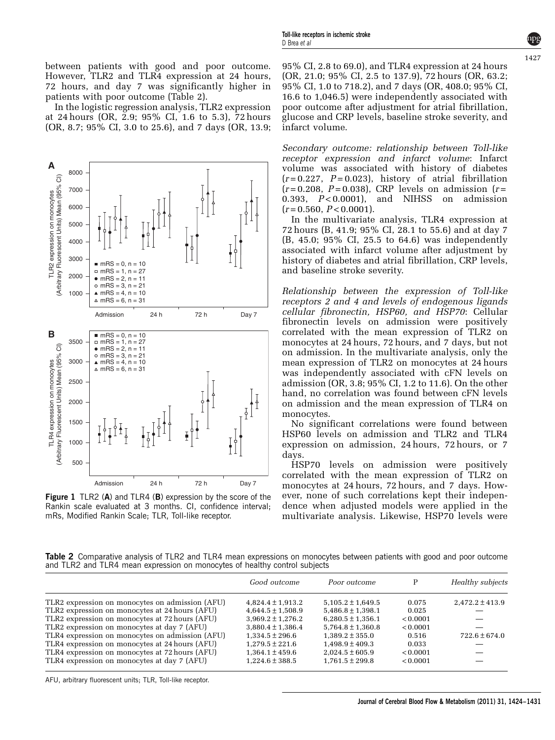<span id="page-3-0"></span>between patients with good and poor outcome. However, TLR2 and TLR4 expression at 24 hours, 72 hours, and day 7 was significantly higher in patients with poor outcome (Table 2).

In the logistic regression analysis, TLR2 expression at 24 hours (OR, 2.9; 95% CI, 1.6 to 5.3), 72 hours (OR, 8.7; 95% CI, 3.0 to 25.6), and 7 days (OR, 13.9;



Figure 1 TLR2 (A) and TLR4 (B) expression by the score of the Rankin scale evaluated at 3 months. CI, confidence interval; mRs, Modified Rankin Scale; TLR, Toll-like receptor.

95% CI, 2.8 to 69.0), and TLR4 expression at 24 hours (OR, 21.0; 95% CI, 2.5 to 137.9), 72 hours (OR, 63.2; 95% CI, 1.0 to 718.2), and 7 days (OR, 408.0; 95% CI, 16.6 to 1,046.5) were independently associated with poor outcome after adjustment for atrial fibrillation, glucose and CRP levels, baseline stroke severity, and infarct volume.

Secondary outcome: relationship between Toll-like receptor expression and infarct volume: Infarct volume was associated with history of diabetes  $(r=0.227, P=0.023)$ , history of atrial fibrillation  $(r=0.208, P=0.038)$ , CRP levels on admission  $(r=$ 0.393,  $P < 0.0001$ ), and NIHSS on admission  $(r = 0.560, P < 0.0001).$ 

In the multivariate analysis, TLR4 expression at 72 hours (B, 41.9; 95% CI, 28.1 to 55.6) and at day 7 (B, 45.0; 95% CI, 25.5 to 64.6) was independently associated with infarct volume after adjustment by history of diabetes and atrial fibrillation, CRP levels, and baseline stroke severity.

Relationship between the expression of Toll-like receptors 2 and 4 and levels of endogenous ligands cellular fibronectin, HSP60, and HSP70: Cellular fibronectin levels on admission were positively correlated with the mean expression of TLR2 on monocytes at 24 hours, 72 hours, and 7 days, but not on admission. In the multivariate analysis, only the mean expression of TLR2 on monocytes at 24 hours was independently associated with cFN levels on admission (OR, 3.8; 95% CI, 1.2 to 11.6). On the other hand, no correlation was found between cFN levels on admission and the mean expression of TLR4 on monocytes.

No significant correlations were found between HSP60 levels on admission and TLR2 and TLR4 expression on admission, 24 hours, 72 hours, or 7 days.

HSP70 levels on admission were positively correlated with the mean expression of TLR2 on monocytes at 24 hours, 72 hours, and 7 days. However, none of such correlations kept their independence when adjusted models were applied in the multivariate analysis. Likewise, HSP70 levels were

Table 2 Comparative analysis of TLR2 and TLR4 mean expressions on monocytes between patients with good and poor outcome and TLR2 and TLR4 mean expression on monocytes of healthy control subjects

|                                                 | Good outcome          | Poor outcome          | P        | Healthy subjects    |
|-------------------------------------------------|-----------------------|-----------------------|----------|---------------------|
| TLR2 expression on monocytes on admission (AFU) | $4.824.4 \pm 1.913.2$ | $5.105.2 \pm 1.649.5$ | 0.075    | $2.472.2 \pm 413.9$ |
| TLR2 expression on monocytes at 24 hours (AFU)  | $4.644.5 \pm 1.508.9$ | $5,486.8 \pm 1,398.1$ | 0.025    |                     |
| TLR2 expression on monocytes at 72 hours (AFU)  | $3.969.2 \pm 1.276.2$ | $6.280.5 \pm 1.356.1$ | < 0.0001 |                     |
| TLR2 expression on monocytes at day 7 (AFU)     | $3.880.4 \pm 1.386.4$ | $5.764.8 \pm 1.360.8$ | < 0.0001 |                     |
| TLR4 expression on monocytes on admission (AFU) | $1.334.5 \pm 296.6$   | $1.389.2 \pm 355.0$   | 0.516    | $722.6 \pm 674.0$   |
| TLR4 expression on monocytes at 24 hours (AFU)  | $1.279.5 \pm 221.6$   | $1.498.9 \pm 409.3$   | 0.033    |                     |
| TLR4 expression on monocytes at 72 hours (AFU)  | $1.364.1 \pm 459.6$   | $2.024.5 \pm 605.9$   | < 0.0001 |                     |
| TLR4 expression on monocytes at day 7 (AFU)     | $1.224.6 \pm 388.5$   | $1.761.5 \pm 299.8$   | < 0.0001 |                     |

AFU, arbitrary fluorescent units; TLR, Toll-like receptor.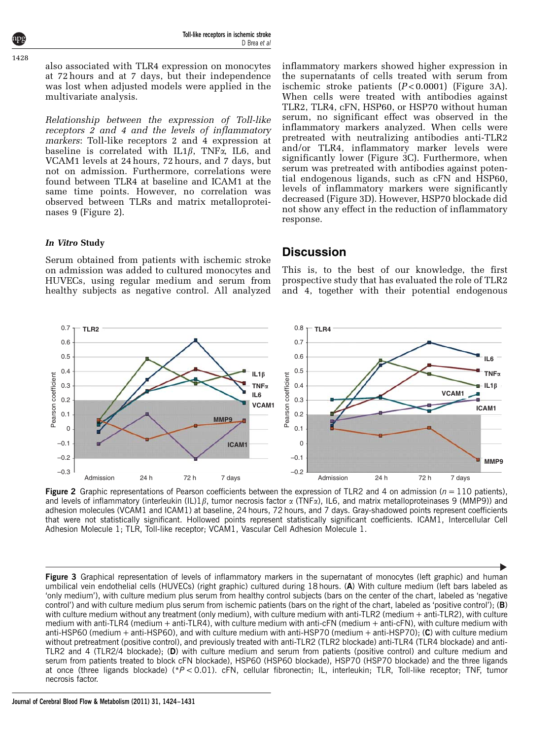also associated with TLR4 expression on monocytes at 72 hours and at 7 days, but their independence was lost when adjusted models were applied in the multivariate analysis.

Relationship between the expression of Toll-like receptors 2 and 4 and the levels of inflammatory markers: Toll-like receptors 2 and 4 expression at baseline is correlated with IL1 $\beta$ , TNF $\alpha$ , IL6, and VCAM1 levels at 24 hours, 72 hours, and 7 days, but not on admission. Furthermore, correlations were found between TLR4 at baseline and ICAM1 at the same time points. However, no correlation was observed between TLRs and matrix metalloproteinases 9 (Figure 2).

inflammatory markers showed higher expression in the supernatants of cells treated with serum from ischemic stroke patients  $(P<0.0001)$  (Figure 3A). When cells were treated with antibodies against TLR2, TLR4, cFN, HSP60, or HSP70 without human serum, no significant effect was observed in the inflammatory markers analyzed. When cells were pretreated with neutralizing antibodies anti-TLR2 and/or TLR4, inflammatory marker levels were significantly lower (Figure 3C). Furthermore, when serum was pretreated with antibodies against potential endogenous ligands, such as cFN and HSP60, levels of inflammatory markers were significantly decreased (Figure 3D). However, HSP70 blockade did not show any effect in the reduction of inflammatory response.

## In Vitro Study

Serum obtained from patients with ischemic stroke on admission was added to cultured monocytes and HUVECs, using regular medium and serum from healthy subjects as negative control. All analyzed

## **Discussion**

This is, to the best of our knowledge, the first prospective study that has evaluated the role of TLR2 and 4, together with their potential endogenous



Figure 2 Graphic representations of Pearson coefficients between the expression of TLR2 and 4 on admission ( $n = 110$  patients), and levels of inflammatory (interleukin (IL)1 $\beta$ , tumor necrosis factor  $\alpha$  (TNF $\alpha$ ), IL6, and matrix metalloproteinases 9 (MMP9)) and adhesion molecules (VCAM1 and ICAM1) at baseline, 24 hours, 72 hours, and 7 days. Gray-shadowed points represent coefficients that were not statistically significant. Hollowed points represent statistically significant coefficients. ICAM1, Intercellular Cell Adhesion Molecule 1; TLR, Toll-like receptor; VCAM1, Vascular Cell Adhesion Molecule 1.

Figure 3 Graphical representation of levels of inflammatory markers in the supernatant of monocytes (left graphic) and human umbilical vein endothelial cells (HUVECs) (right graphic) cultured during 18 hours. (A) With culture medium (left bars labeled as 'only medium'), with culture medium plus serum from healthy control subjects (bars on the center of the chart, labeled as 'negative control') and with culture medium plus serum from ischemic patients (bars on the right of the chart, labeled as 'positive control'); (B) with culture medium without any treatment (only medium), with culture medium with anti-TLR2 (medium + anti-TLR2), with culture medium with anti-TLR4 (medium + anti-TLR4), with culture medium with anti-cFN (medium + anti-cFN), with culture medium with anti-HSP60 (medium  $+$  anti-HSP60), and with culture medium with anti-HSP70 (medium  $+$  anti-HSP70); (C) with culture medium without pretreatment (positive control), and previously treated with anti-TLR2 (TLR2 blockade) anti-TLR4 (TLR4 blockade) and anti-TLR2 and 4 (TLR2/4 blockade); (D) with culture medium and serum from patients (positive control) and culture medium and serum from patients treated to block cFN blockade), HSP60 (HSP60 blockade), HSP70 (HSP70 blockade) and the three ligands at once (three ligands blockade) (\* $P < 0.01$ ). cFN, cellular fibronectin; IL, interleukin; TLR, Toll-like receptor; TNF, tumor necrosis factor.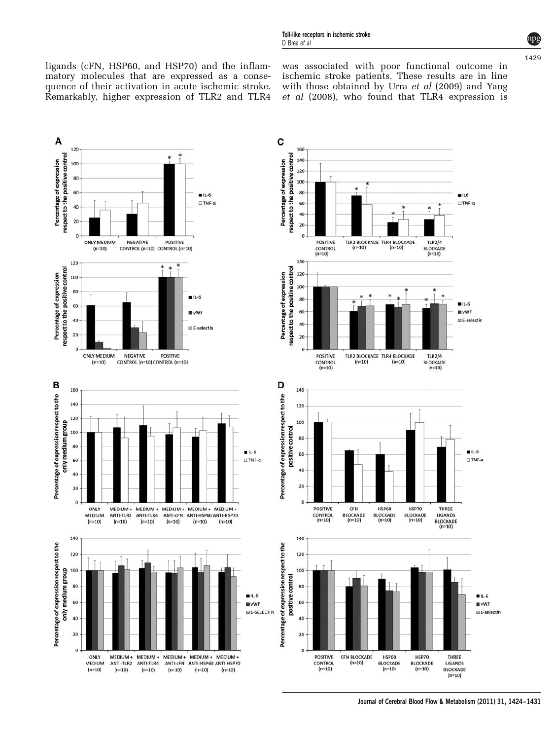ligands (cFN, HSP60, and HSP70) and the inflammatory molecules that are expressed as a consequence of their activation in acute ischemic stroke. Remarkably, higher expression of TLR2 and TLR4 was associated with poor functional outcome in ischemic stroke patients. These results are in line with those obtained by Urra et al [\(2009\)](#page-7-0) and [Yang](#page-7-0) et al [\(2008\)](#page-7-0), who found that TLR4 expression is



Journal of Cerebral Blood Flow & Metabolism (2011) 31, 1424–1431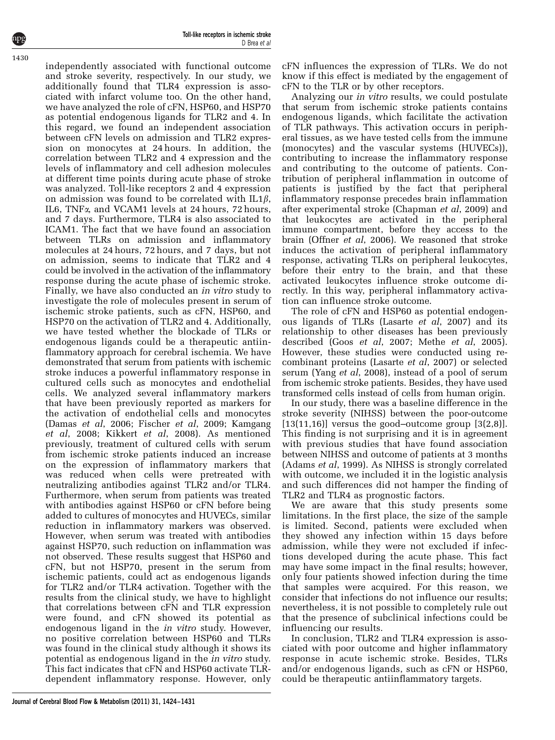independently associated with functional outcome and stroke severity, respectively. In our study, we additionally found that TLR4 expression is associated with infarct volume too. On the other hand, we have analyzed the role of cFN, HSP60, and HSP70 as potential endogenous ligands for TLR2 and 4. In this regard, we found an independent association between cFN levels on admission and TLR2 expression on monocytes at 24 hours. In addition, the correlation between TLR2 and 4 expression and the levels of inflammatory and cell adhesion molecules at different time points during acute phase of stroke was analyzed. Toll-like receptors 2 and 4 expression on admission was found to be correlated with  $IL1\beta$ , IL6, TNFa, and VCAM1 levels at 24 hours, 72 hours, and 7 days. Furthermore, TLR4 is also associated to ICAM1. The fact that we have found an association between TLRs on admission and inflammatory molecules at 24 hours, 72 hours, and 7 days, but not on admission, seems to indicate that TLR2 and 4 could be involved in the activation of the inflammatory response during the acute phase of ischemic stroke. Finally, we have also conducted an in vitro study to investigate the role of molecules present in serum of ischemic stroke patients, such as cFN, HSP60, and HSP70 on the activation of TLR2 and 4. Additionally, we have tested whether the blockade of TLRs or endogenous ligands could be a therapeutic antiinflammatory approach for cerebral ischemia. We have demonstrated that serum from patients with ischemic stroke induces a powerful inflammatory response in cultured cells such as monocytes and endothelial cells. We analyzed several inflammatory markers that have been previously reported as markers for the activation of endothelial cells and monocytes (Damas et al[, 2006; Fischer](#page-7-0) et al, 2009; [Kamgang](#page-7-0) et al[, 2008](#page-7-0); [Kikkert](#page-7-0) et al, 2008). As mentioned previously, treatment of cultured cells with serum from ischemic stroke patients induced an increase on the expression of inflammatory markers that was reduced when cells were pretreated with neutralizing antibodies against TLR2 and/or TLR4. Furthermore, when serum from patients was treated with antibodies against HSP60 or cFN before being added to cultures of monocytes and HUVECs, similar reduction in inflammatory markers was observed. However, when serum was treated with antibodies against HSP70, such reduction on inflammation was not observed. These results suggest that HSP60 and cFN, but not HSP70, present in the serum from ischemic patients, could act as endogenous ligands for TLR2 and/or TLR4 activation. Together with the results from the clinical study, we have to highlight that correlations between cFN and TLR expression were found, and cFN showed its potential as endogenous ligand in the in vitro study. However, no positive correlation between HSP60 and TLRs was found in the clinical study although it shows its potential as endogenous ligand in the in vitro study. This fact indicates that cFN and HSP60 activate TLRdependent inflammatory response. However, only

cFN influences the expression of TLRs. We do not know if this effect is mediated by the engagement of cFN to the TLR or by other receptors.

Analyzing our in vitro results, we could postulate that serum from ischemic stroke patients contains endogenous ligands, which facilitate the activation of TLR pathways. This activation occurs in peripheral tissues, as we have tested cells from the immune (monocytes) and the vascular systems (HUVECs)), contributing to increase the inflammatory response and contributing to the outcome of patients. Contribution of peripheral inflammation in outcome of patients is justified by the fact that peripheral inflammatory response precedes brain inflammation after experimental stroke [\(Chapman](#page-7-0) et al, 2009) and that leukocytes are activated in the peripheral immune compartment, before they access to the brain (Offner et al[, 2006\)](#page-7-0). We reasoned that stroke induces the activation of peripheral inflammatory response, activating TLRs on peripheral leukocytes, before their entry to the brain, and that these activated leukocytes influence stroke outcome directly. In this way, peripheral inflammatory activation can influence stroke outcome.

The role of cFN and HSP60 as potential endogenous ligands of TLRs ([Lasarte](#page-7-0) et al, 2007) and its relationship to other diseases has been previously described (Goos et al[, 2007](#page-7-0); Methe et al[, 2005\)](#page-7-0). However, these studies were conducted using recombinant proteins ([Lasarte](#page-7-0) et al, 2007) or selected serum (Yang et al[, 2008\)](#page-7-0), instead of a pool of serum from ischemic stroke patients. Besides, they have used transformed cells instead of cells from human origin.

In our study, there was a baseline difference in the stroke severity (NIHSS) between the poor-outcome  $[13(11,16)]$  versus the good–outcome group  $[3(2,8)]$ . This finding is not surprising and it is in agreement with previous studies that have found association between NIHSS and outcome of patients at 3 months [\(Adams](#page-7-0) et al, 1999). As NIHSS is strongly correlated with outcome, we included it in the logistic analysis and such differences did not hamper the finding of TLR2 and TLR4 as prognostic factors.

We are aware that this study presents some limitations. In the first place, the size of the sample is limited. Second, patients were excluded when they showed any infection within 15 days before admission, while they were not excluded if infections developed during the acute phase. This fact may have some impact in the final results; however, only four patients showed infection during the time that samples were acquired. For this reason, we consider that infections do not influence our results; nevertheless, it is not possible to completely rule out that the presence of subclinical infections could be influencing our results.

In conclusion, TLR2 and TLR4 expression is associated with poor outcome and higher inflammatory response in acute ischemic stroke. Besides, TLRs and/or endogenous ligands, such as cFN or HSP60, could be therapeutic antiinflammatory targets.